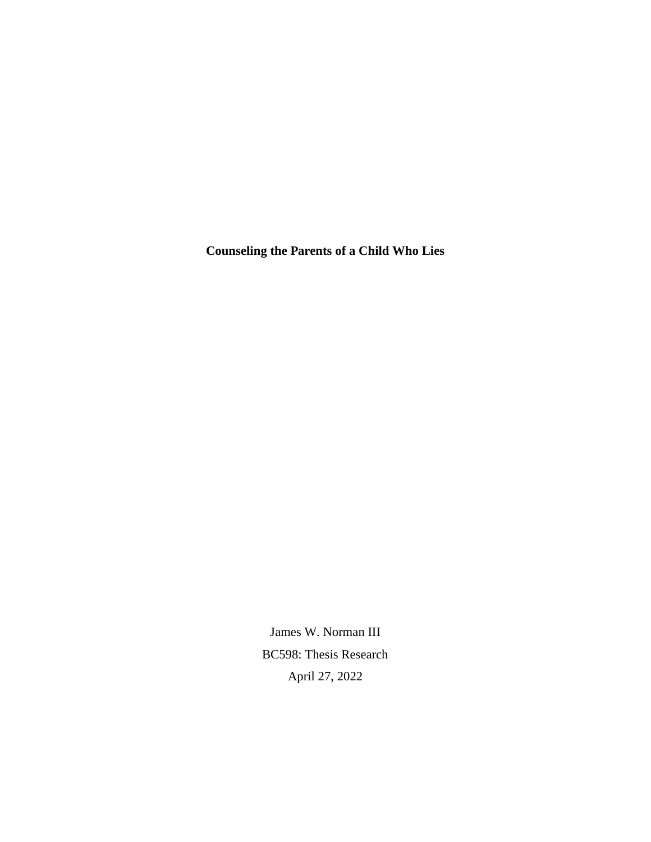**Counseling the Parents of a Child Who Lies**

James W. Norman III BC598: Thesis Research April 27, 2022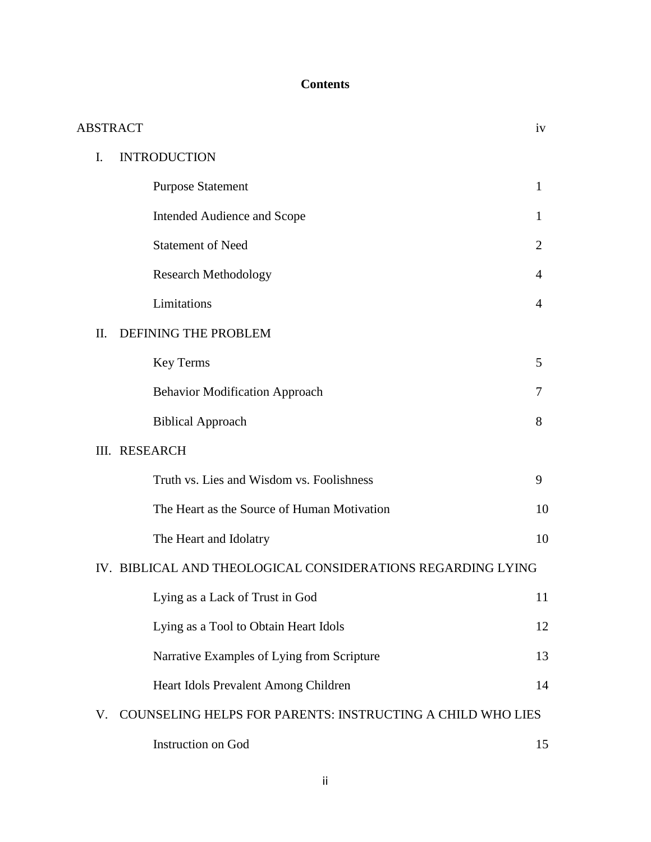# **Contents**

|     | <b>ABSTRACT</b>                                                   | iv             |
|-----|-------------------------------------------------------------------|----------------|
| I.  | <b>INTRODUCTION</b>                                               |                |
|     | <b>Purpose Statement</b>                                          | 1              |
|     | Intended Audience and Scope                                       | 1              |
|     | <b>Statement of Need</b>                                          | $\overline{2}$ |
|     | <b>Research Methodology</b>                                       | 4              |
|     | Limitations                                                       | 4              |
| II. | DEFINING THE PROBLEM                                              |                |
|     | Key Terms                                                         | 5              |
|     | <b>Behavior Modification Approach</b>                             | 7              |
|     | <b>Biblical Approach</b>                                          | 8              |
|     | III. RESEARCH                                                     |                |
|     | Truth vs. Lies and Wisdom vs. Foolishness                         | 9              |
|     | The Heart as the Source of Human Motivation                       | 10             |
|     | The Heart and Idolatry                                            | 10             |
|     | IV. BIBLICAL AND THEOLOGICAL CONSIDERATIONS REGARDING LYING       |                |
|     | Lying as a Lack of Trust in God                                   | 11             |
|     | Lying as a Tool to Obtain Heart Idols                             | 12             |
|     | Narrative Examples of Lying from Scripture                        | 13             |
|     | Heart Idols Prevalent Among Children                              | 14             |
| V.  | <b>COUNSELING HELPS FOR PARENTS: INSTRUCTING A CHILD WHO LIES</b> |                |
|     | Instruction on God                                                | 15             |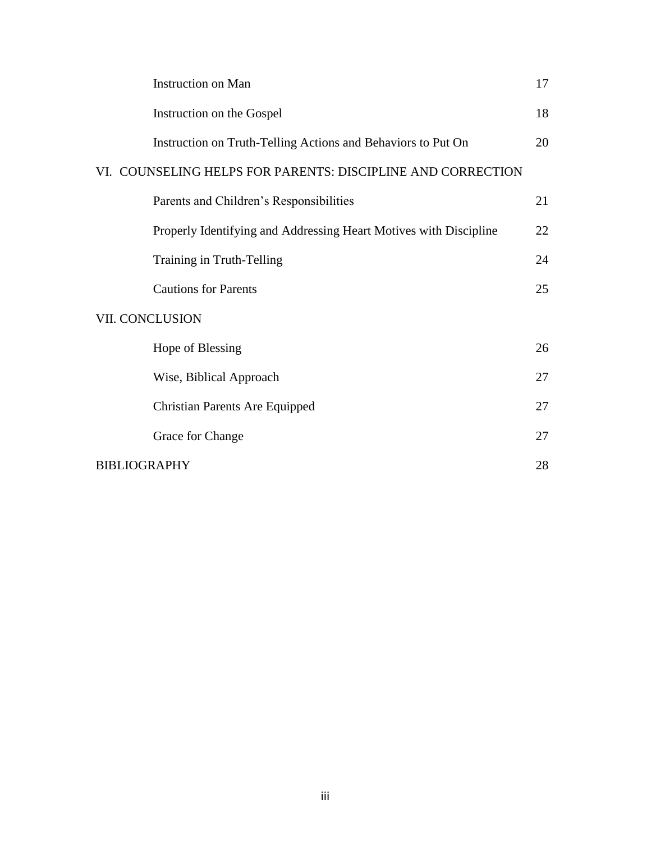|                     | <b>Instruction on Man</b>                                         | 17 |
|---------------------|-------------------------------------------------------------------|----|
|                     | Instruction on the Gospel                                         | 18 |
|                     | Instruction on Truth-Telling Actions and Behaviors to Put On      | 20 |
|                     | VI. COUNSELING HELPS FOR PARENTS: DISCIPLINE AND CORRECTION       |    |
|                     | Parents and Children's Responsibilities                           | 21 |
|                     | Properly Identifying and Addressing Heart Motives with Discipline | 22 |
|                     | Training in Truth-Telling                                         | 24 |
|                     | <b>Cautions for Parents</b>                                       | 25 |
|                     | VII. CONCLUSION                                                   |    |
|                     | Hope of Blessing                                                  | 26 |
|                     | Wise, Biblical Approach                                           | 27 |
|                     | <b>Christian Parents Are Equipped</b>                             | 27 |
|                     | Grace for Change                                                  | 27 |
| <b>BIBLIOGRAPHY</b> |                                                                   |    |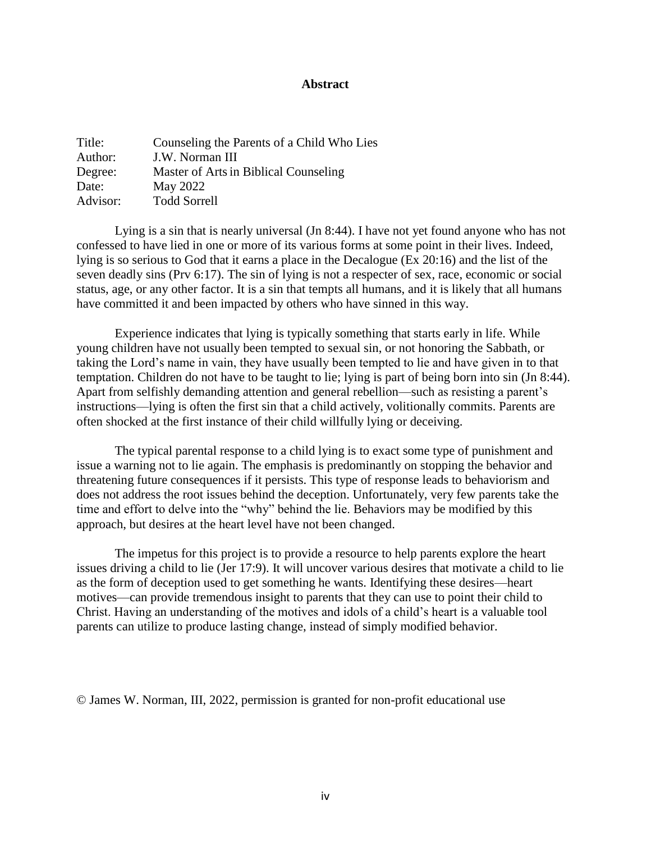## **Abstract**

| Title:   | Counseling the Parents of a Child Who Lies |
|----------|--------------------------------------------|
| Author:  | J.W. Norman III                            |
| Degree:  | Master of Arts in Biblical Counseling      |
| Date:    | May 2022                                   |
| Advisor: | <b>Todd Sorrell</b>                        |

Lying is a sin that is nearly universal (Jn 8:44). I have not yet found anyone who has not confessed to have lied in one or more of its various forms at some point in their lives. Indeed, lying is so serious to God that it earns a place in the Decalogue (Ex 20:16) and the list of the seven deadly sins (Prv 6:17). The sin of lying is not a respecter of sex, race, economic or social status, age, or any other factor. It is a sin that tempts all humans, and it is likely that all humans have committed it and been impacted by others who have sinned in this way.

Experience indicates that lying is typically something that starts early in life. While young children have not usually been tempted to sexual sin, or not honoring the Sabbath, or taking the Lord's name in vain, they have usually been tempted to lie and have given in to that temptation. Children do not have to be taught to lie; lying is part of being born into sin (Jn 8:44). Apart from selfishly demanding attention and general rebellion—such as resisting a parent's instructions—lying is often the first sin that a child actively, volitionally commits. Parents are often shocked at the first instance of their child willfully lying or deceiving.

The typical parental response to a child lying is to exact some type of punishment and issue a warning not to lie again. The emphasis is predominantly on stopping the behavior and threatening future consequences if it persists. This type of response leads to behaviorism and does not address the root issues behind the deception. Unfortunately, very few parents take the time and effort to delve into the "why" behind the lie. Behaviors may be modified by this approach, but desires at the heart level have not been changed.

The impetus for this project is to provide a resource to help parents explore the heart issues driving a child to lie (Jer 17:9). It will uncover various desires that motivate a child to lie as the form of deception used to get something he wants. Identifying these desires—heart motives—can provide tremendous insight to parents that they can use to point their child to Christ. Having an understanding of the motives and idols of a child's heart is a valuable tool parents can utilize to produce lasting change, instead of simply modified behavior.

© James W. Norman, III, 2022, permission is granted for non-profit educational use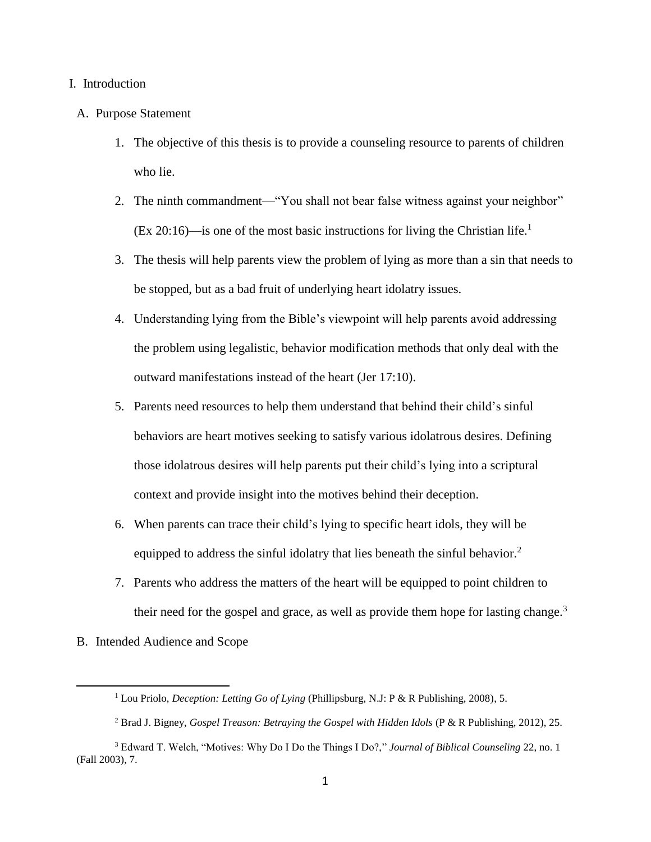## I. Introduction

## A. Purpose Statement

- 1. The objective of this thesis is to provide a counseling resource to parents of children who lie.
- 2. The ninth commandment—"You shall not bear false witness against your neighbor"  $(Ex\ 20:16)$ —is one of the most basic instructions for living the Christian life.<sup>1</sup>
- 3. The thesis will help parents view the problem of lying as more than a sin that needs to be stopped, but as a bad fruit of underlying heart idolatry issues.
- 4. Understanding lying from the Bible's viewpoint will help parents avoid addressing the problem using legalistic, behavior modification methods that only deal with the outward manifestations instead of the heart (Jer 17:10).
- 5. Parents need resources to help them understand that behind their child's sinful behaviors are heart motives seeking to satisfy various idolatrous desires. Defining those idolatrous desires will help parents put their child's lying into a scriptural context and provide insight into the motives behind their deception.
- 6. When parents can trace their child's lying to specific heart idols, they will be equipped to address the sinful idolatry that lies beneath the sinful behavior.<sup>2</sup>
- 7. Parents who address the matters of the heart will be equipped to point children to their need for the gospel and grace, as well as provide them hope for lasting change.<sup>3</sup>
- B. Intended Audience and Scope

<sup>&</sup>lt;sup>1</sup> Lou Priolo, *Deception: Letting Go of Lying* (Phillipsburg, N.J: P & R Publishing, 2008), 5.

<sup>2</sup> Brad J. Bigney, *Gospel Treason: Betraying the Gospel with Hidden Idols* (P & R Publishing, 2012), 25.

<sup>3</sup> Edward T. Welch, "Motives: Why Do I Do the Things I Do?," *Journal of Biblical Counseling* 22, no. 1 (Fall 2003), 7.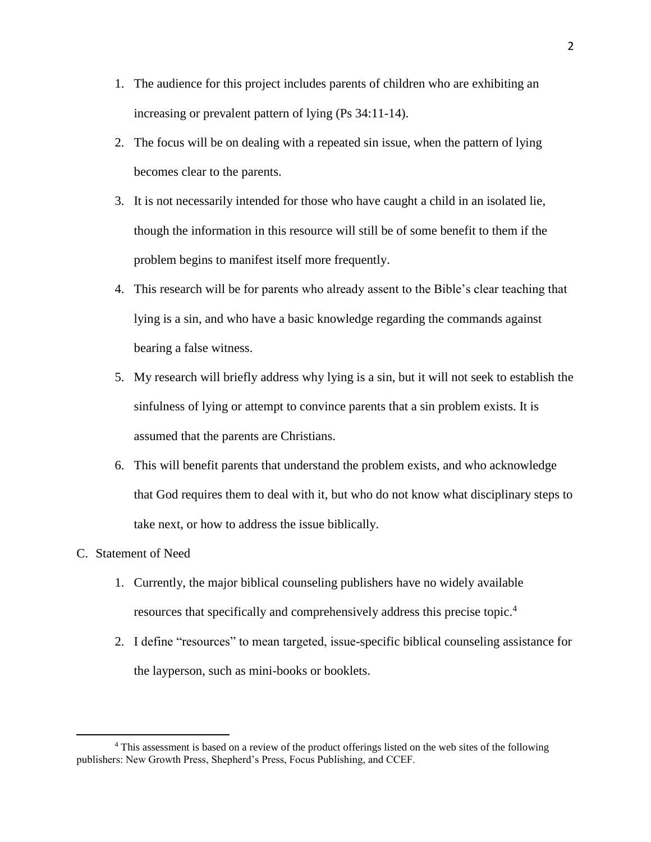- 1. The audience for this project includes parents of children who are exhibiting an increasing or prevalent pattern of lying (Ps 34:11-14).
- 2. The focus will be on dealing with a repeated sin issue, when the pattern of lying becomes clear to the parents.
- 3. It is not necessarily intended for those who have caught a child in an isolated lie, though the information in this resource will still be of some benefit to them if the problem begins to manifest itself more frequently.
- 4. This research will be for parents who already assent to the Bible's clear teaching that lying is a sin, and who have a basic knowledge regarding the commands against bearing a false witness.
- 5. My research will briefly address why lying is a sin, but it will not seek to establish the sinfulness of lying or attempt to convince parents that a sin problem exists. It is assumed that the parents are Christians.
- 6. This will benefit parents that understand the problem exists, and who acknowledge that God requires them to deal with it, but who do not know what disciplinary steps to take next, or how to address the issue biblically.
- C. Statement of Need

- 1. Currently, the major biblical counseling publishers have no widely available resources that specifically and comprehensively address this precise topic. 4
- 2. I define "resources" to mean targeted, issue-specific biblical counseling assistance for the layperson, such as mini-books or booklets.

<sup>4</sup> This assessment is based on a review of the product offerings listed on the web sites of the following publishers: New Growth Press, Shepherd's Press, Focus Publishing, and CCEF.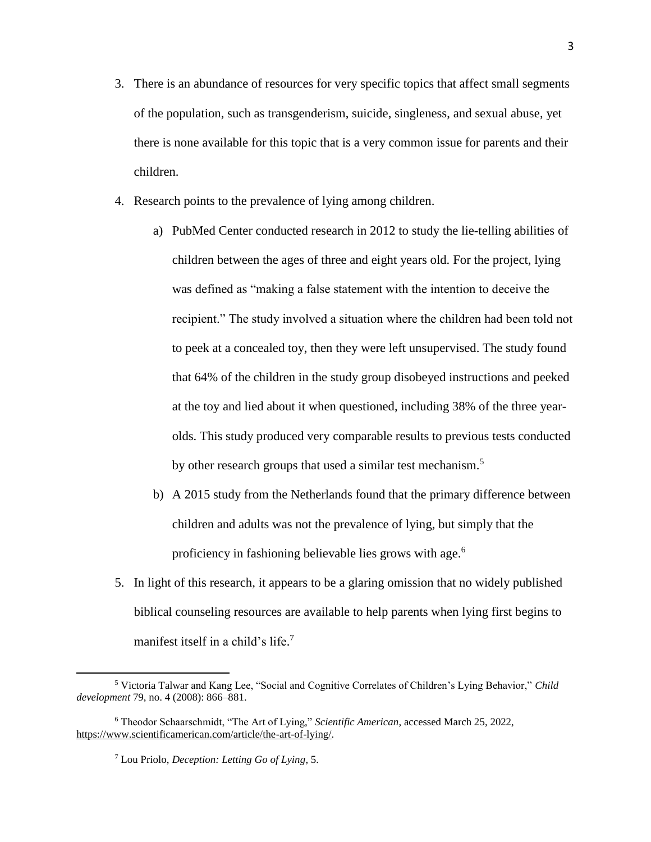- 3. There is an abundance of resources for very specific topics that affect small segments of the population, such as transgenderism, suicide, singleness, and sexual abuse, yet there is none available for this topic that is a very common issue for parents and their children.
- 4. Research points to the prevalence of lying among children.
	- a) PubMed Center conducted research in 2012 to study the lie-telling abilities of children between the ages of three and eight years old. For the project, lying was defined as "making a false statement with the intention to deceive the recipient." The study involved a situation where the children had been told not to peek at a concealed toy, then they were left unsupervised. The study found that 64% of the children in the study group disobeyed instructions and peeked at the toy and lied about it when questioned, including 38% of the three yearolds. This study produced very comparable results to previous tests conducted by other research groups that used a similar test mechanism.<sup>5</sup>
	- b) A 2015 study from the Netherlands found that the primary difference between children and adults was not the prevalence of lying, but simply that the proficiency in fashioning believable lies grows with age.<sup>6</sup>
- 5. In light of this research, it appears to be a glaring omission that no widely published biblical counseling resources are available to help parents when lying first begins to manifest itself in a child's life.<sup>7</sup>

<sup>5</sup> Victoria Talwar and Kang Lee, "Social and Cognitive Correlates of Children's Lying Behavior," *Child development* 79, no. 4 (2008): 866–881.

<sup>6</sup> Theodor Schaarschmidt, "The Art of Lying," *Scientific American*, accessed March 25, 2022, [https://www.scientificamerican.com/article/the-art-of-lying/.](https://www.scientificamerican.com/article/the-art-of-lying/)

<sup>7</sup> Lou Priolo, *Deception: Letting Go of Lying*, 5.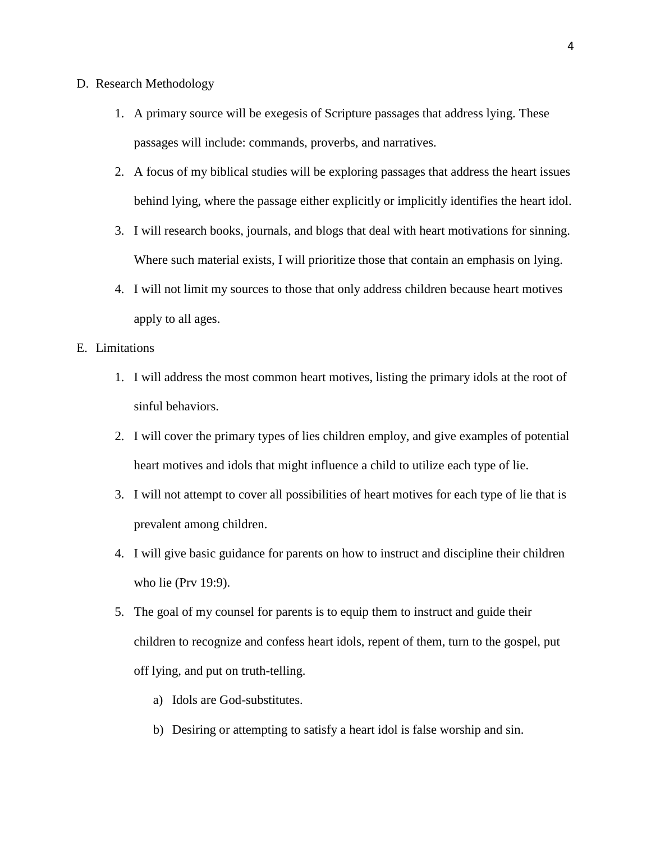- D. Research Methodology
	- 1. A primary source will be exegesis of Scripture passages that address lying. These passages will include: commands, proverbs, and narratives.
	- 2. A focus of my biblical studies will be exploring passages that address the heart issues behind lying, where the passage either explicitly or implicitly identifies the heart idol.
	- 3. I will research books, journals, and blogs that deal with heart motivations for sinning. Where such material exists, I will prioritize those that contain an emphasis on lying.
	- 4. I will not limit my sources to those that only address children because heart motives apply to all ages.

## E. Limitations

- 1. I will address the most common heart motives, listing the primary idols at the root of sinful behaviors.
- 2. I will cover the primary types of lies children employ, and give examples of potential heart motives and idols that might influence a child to utilize each type of lie.
- 3. I will not attempt to cover all possibilities of heart motives for each type of lie that is prevalent among children.
- 4. I will give basic guidance for parents on how to instruct and discipline their children who lie (Prv 19:9).
- 5. The goal of my counsel for parents is to equip them to instruct and guide their children to recognize and confess heart idols, repent of them, turn to the gospel, put off lying, and put on truth-telling.
	- a) Idols are God-substitutes.
	- b) Desiring or attempting to satisfy a heart idol is false worship and sin.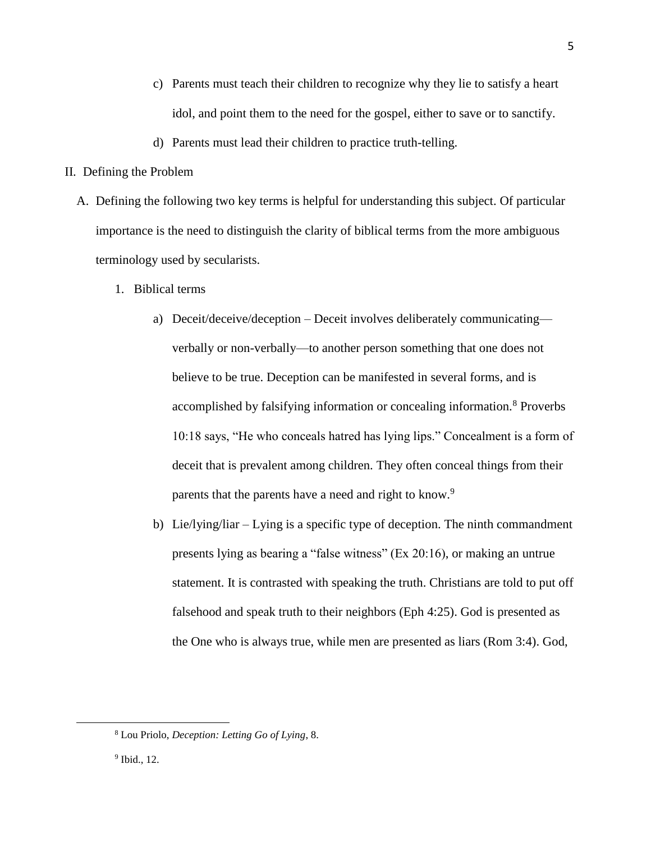- c) Parents must teach their children to recognize why they lie to satisfy a heart idol, and point them to the need for the gospel, either to save or to sanctify.
- d) Parents must lead their children to practice truth-telling.
- II. Defining the Problem
	- A. Defining the following two key terms is helpful for understanding this subject. Of particular importance is the need to distinguish the clarity of biblical terms from the more ambiguous terminology used by secularists.
		- 1. Biblical terms
			- a) Deceit/deceive/deception Deceit involves deliberately communicating verbally or non-verbally—to another person something that one does not believe to be true. Deception can be manifested in several forms, and is accomplished by falsifying information or concealing information.<sup>8</sup> Proverbs 10:18 says, "He who conceals hatred has lying lips." Concealment is a form of deceit that is prevalent among children. They often conceal things from their parents that the parents have a need and right to know.<sup>9</sup>
			- b) Lie/lying/liar Lying is a specific type of deception. The ninth commandment presents lying as bearing a "false witness" (Ex 20:16), or making an untrue statement. It is contrasted with speaking the truth. Christians are told to put off falsehood and speak truth to their neighbors (Eph 4:25). God is presented as the One who is always true, while men are presented as liars (Rom 3:4). God,

5

<sup>8</sup> Lou Priolo, *Deception: Letting Go of Lying*, 8.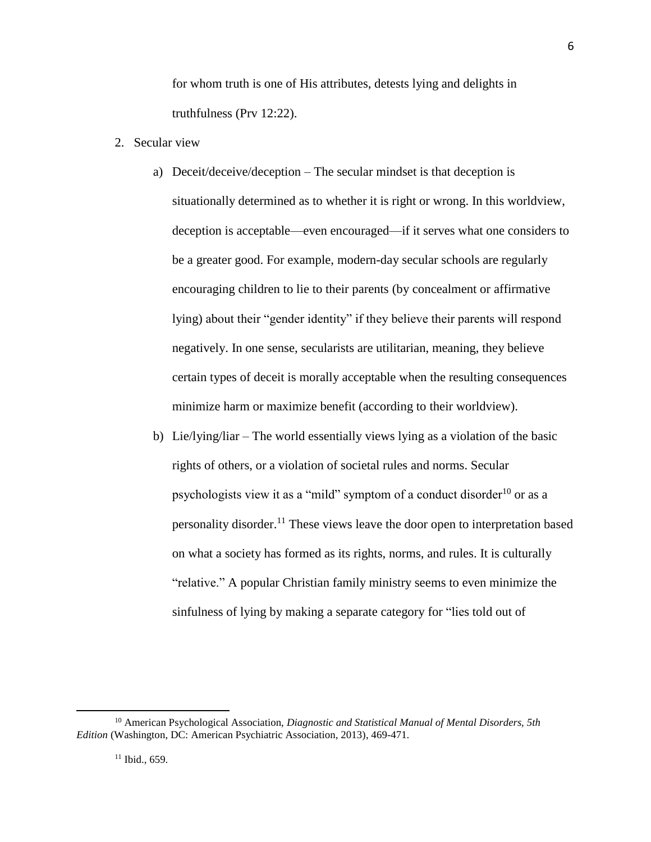for whom truth is one of His attributes, detests lying and delights in truthfulness (Prv 12:22).

- 2. Secular view
	- a) Deceit/deceive/deception The secular mindset is that deception is situationally determined as to whether it is right or wrong. In this worldview, deception is acceptable—even encouraged—if it serves what one considers to be a greater good. For example, modern-day secular schools are regularly encouraging children to lie to their parents (by concealment or affirmative lying) about their "gender identity" if they believe their parents will respond negatively. In one sense, secularists are utilitarian, meaning, they believe certain types of deceit is morally acceptable when the resulting consequences minimize harm or maximize benefit (according to their worldview).
	- b) Lie/lying/liar The world essentially views lying as a violation of the basic rights of others, or a violation of societal rules and norms. Secular psychologists view it as a "mild" symptom of a conduct disorder<sup>10</sup> or as a personality disorder.<sup>11</sup> These views leave the door open to interpretation based on what a society has formed as its rights, norms, and rules. It is culturally "relative." A popular Christian family ministry seems to even minimize the sinfulness of lying by making a separate category for "lies told out of

<sup>10</sup> American Psychological Association, *Diagnostic and Statistical Manual of Mental Disorders, 5th Edition* (Washington, DC: American Psychiatric Association, 2013), 469-471.

<sup>6</sup>

 $11$  Ibid., 659.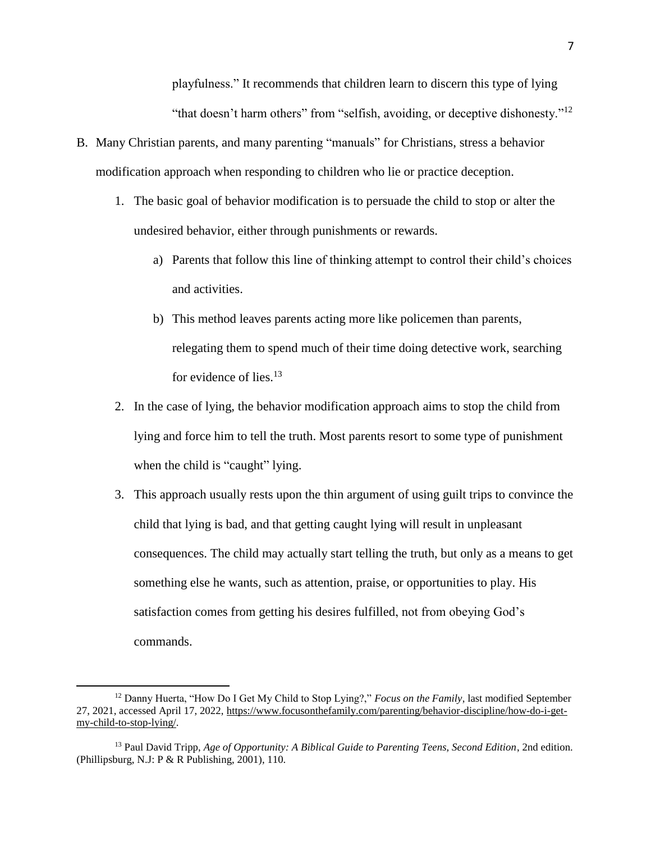playfulness." It recommends that children learn to discern this type of lying "that doesn't harm others" from "selfish, avoiding, or deceptive dishonesty."<sup>12</sup>

- B. Many Christian parents, and many parenting "manuals" for Christians, stress a behavior modification approach when responding to children who lie or practice deception.
	- 1. The basic goal of behavior modification is to persuade the child to stop or alter the undesired behavior, either through punishments or rewards.
		- a) Parents that follow this line of thinking attempt to control their child's choices and activities.
		- b) This method leaves parents acting more like policemen than parents, relegating them to spend much of their time doing detective work, searching for evidence of lies.<sup>13</sup>
	- 2. In the case of lying, the behavior modification approach aims to stop the child from lying and force him to tell the truth. Most parents resort to some type of punishment when the child is "caught" lying.
	- 3. This approach usually rests upon the thin argument of using guilt trips to convince the child that lying is bad, and that getting caught lying will result in unpleasant consequences. The child may actually start telling the truth, but only as a means to get something else he wants, such as attention, praise, or opportunities to play. His satisfaction comes from getting his desires fulfilled, not from obeying God's commands.

<sup>12</sup> Danny Huerta, "How Do I Get My Child to Stop Lying?," *Focus on the Family*, last modified September 27, 2021, accessed April 17, 2022, [https://www.focusonthefamily.com/parenting/behavior-discipline/how-do-i-get](https://www.focusonthefamily.com/parenting/behavior-discipline/how-do-i-get-my-child-to-stop-lying/)[my-child-to-stop-lying/.](https://www.focusonthefamily.com/parenting/behavior-discipline/how-do-i-get-my-child-to-stop-lying/)

<sup>13</sup> Paul David Tripp, *Age of Opportunity: A Biblical Guide to Parenting Teens, Second Edition*, 2nd edition. (Phillipsburg, N.J: P & R Publishing, 2001), 110.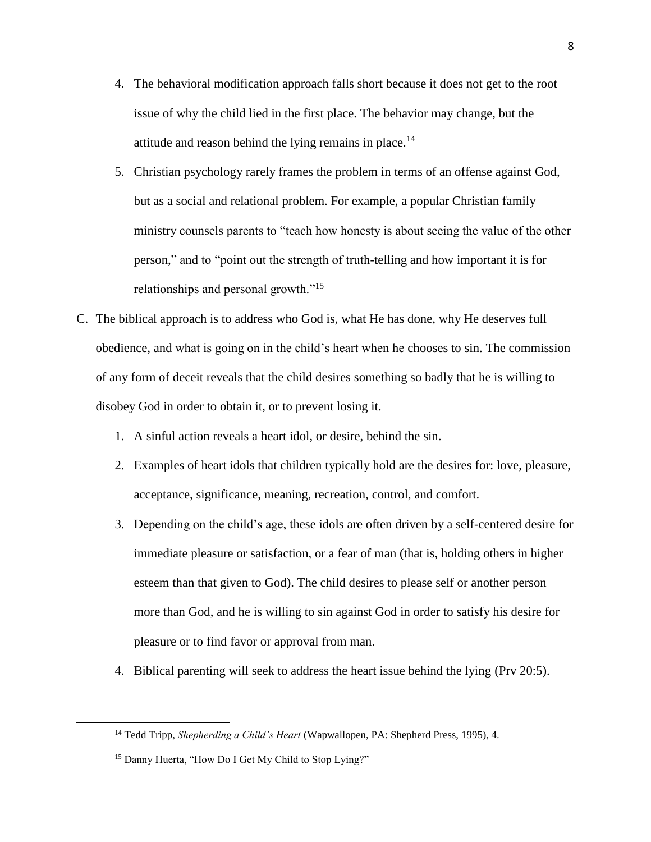- 4. The behavioral modification approach falls short because it does not get to the root issue of why the child lied in the first place. The behavior may change, but the attitude and reason behind the lying remains in place.<sup>14</sup>
- 5. Christian psychology rarely frames the problem in terms of an offense against God, but as a social and relational problem. For example, a popular Christian family ministry counsels parents to "teach how honesty is about seeing the value of the other person," and to "point out the strength of truth-telling and how important it is for relationships and personal growth."<sup>15</sup>
- C. The biblical approach is to address who God is, what He has done, why He deserves full obedience, and what is going on in the child's heart when he chooses to sin. The commission of any form of deceit reveals that the child desires something so badly that he is willing to disobey God in order to obtain it, or to prevent losing it.
	- 1. A sinful action reveals a heart idol, or desire, behind the sin.
	- 2. Examples of heart idols that children typically hold are the desires for: love, pleasure, acceptance, significance, meaning, recreation, control, and comfort.
	- 3. Depending on the child's age, these idols are often driven by a self-centered desire for immediate pleasure or satisfaction, or a fear of man (that is, holding others in higher esteem than that given to God). The child desires to please self or another person more than God, and he is willing to sin against God in order to satisfy his desire for pleasure or to find favor or approval from man.
	- 4. Biblical parenting will seek to address the heart issue behind the lying (Prv 20:5).

<sup>14</sup> Tedd Tripp, *Shepherding a Child's Heart* (Wapwallopen, PA: Shepherd Press, 1995), 4.

<sup>&</sup>lt;sup>15</sup> Danny Huerta, "How Do I Get My Child to Stop Lying?"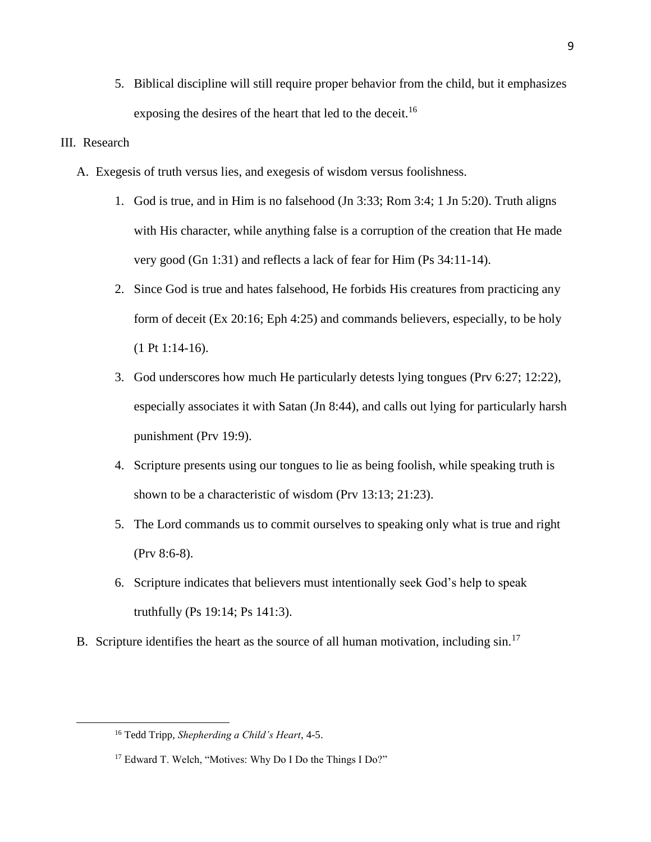5. Biblical discipline will still require proper behavior from the child, but it emphasizes exposing the desires of the heart that led to the deceit.<sup>16</sup>

## III. Research

- A. Exegesis of truth versus lies, and exegesis of wisdom versus foolishness.
	- 1. God is true, and in Him is no falsehood (Jn 3:33; Rom 3:4; 1 Jn 5:20). Truth aligns with His character, while anything false is a corruption of the creation that He made very good (Gn 1:31) and reflects a lack of fear for Him (Ps 34:11-14).
	- 2. Since God is true and hates falsehood, He forbids His creatures from practicing any form of deceit (Ex 20:16; Eph 4:25) and commands believers, especially, to be holy (1 Pt 1:14-16).
	- 3. God underscores how much He particularly detests lying tongues (Prv 6:27; 12:22), especially associates it with Satan (Jn 8:44), and calls out lying for particularly harsh punishment (Prv 19:9).
	- 4. Scripture presents using our tongues to lie as being foolish, while speaking truth is shown to be a characteristic of wisdom (Prv 13:13; 21:23).
	- 5. The Lord commands us to commit ourselves to speaking only what is true and right (Prv 8:6-8).
	- 6. Scripture indicates that believers must intentionally seek God's help to speak truthfully (Ps 19:14; Ps 141:3).
- B. Scripture identifies the heart as the source of all human motivation, including sin.<sup>17</sup>

<sup>16</sup> Tedd Tripp, *Shepherding a Child's Heart*, 4-5.

<sup>&</sup>lt;sup>17</sup> Edward T. Welch, "Motives: Why Do I Do the Things I Do?"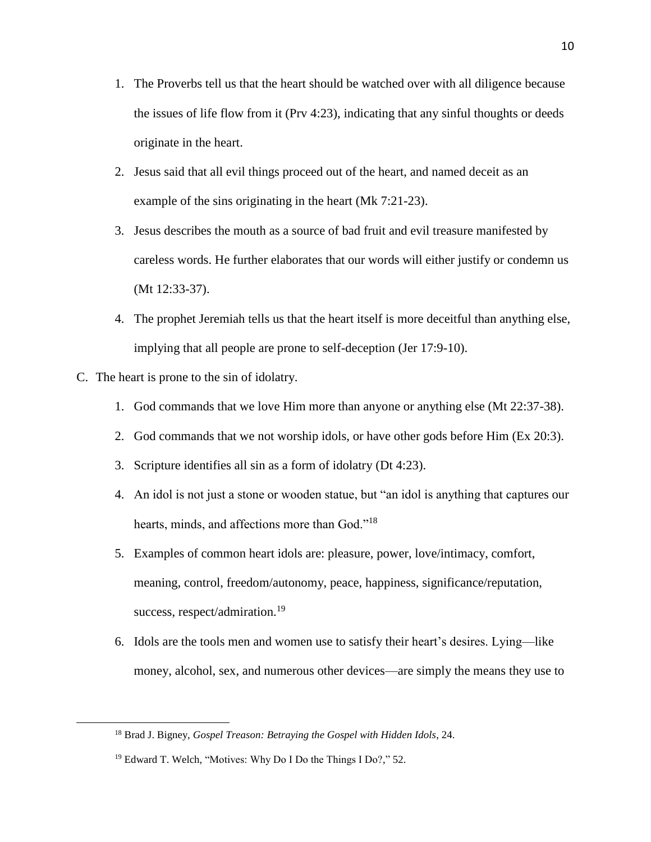- 1. The Proverbs tell us that the heart should be watched over with all diligence because the issues of life flow from it (Prv 4:23), indicating that any sinful thoughts or deeds originate in the heart.
- 2. Jesus said that all evil things proceed out of the heart, and named deceit as an example of the sins originating in the heart (Mk 7:21-23).
- 3. Jesus describes the mouth as a source of bad fruit and evil treasure manifested by careless words. He further elaborates that our words will either justify or condemn us (Mt 12:33-37).
- 4. The prophet Jeremiah tells us that the heart itself is more deceitful than anything else, implying that all people are prone to self-deception (Jer 17:9-10).
- C. The heart is prone to the sin of idolatry.

- 1. God commands that we love Him more than anyone or anything else (Mt 22:37-38).
- 2. God commands that we not worship idols, or have other gods before Him (Ex 20:3).
- 3. Scripture identifies all sin as a form of idolatry (Dt 4:23).
- 4. An idol is not just a stone or wooden statue, but "an idol is anything that captures our hearts, minds, and affections more than God."<sup>18</sup>
- 5. Examples of common heart idols are: pleasure, power, love/intimacy, comfort, meaning, control, freedom/autonomy, peace, happiness, significance/reputation, success, respect/admiration.<sup>19</sup>
- 6. Idols are the tools men and women use to satisfy their heart's desires. Lying—like money, alcohol, sex, and numerous other devices—are simply the means they use to

<sup>18</sup> Brad J. Bigney, *Gospel Treason: Betraying the Gospel with Hidden Idols*, 24.

<sup>&</sup>lt;sup>19</sup> Edward T. Welch, "Motives: Why Do I Do the Things I Do?," 52.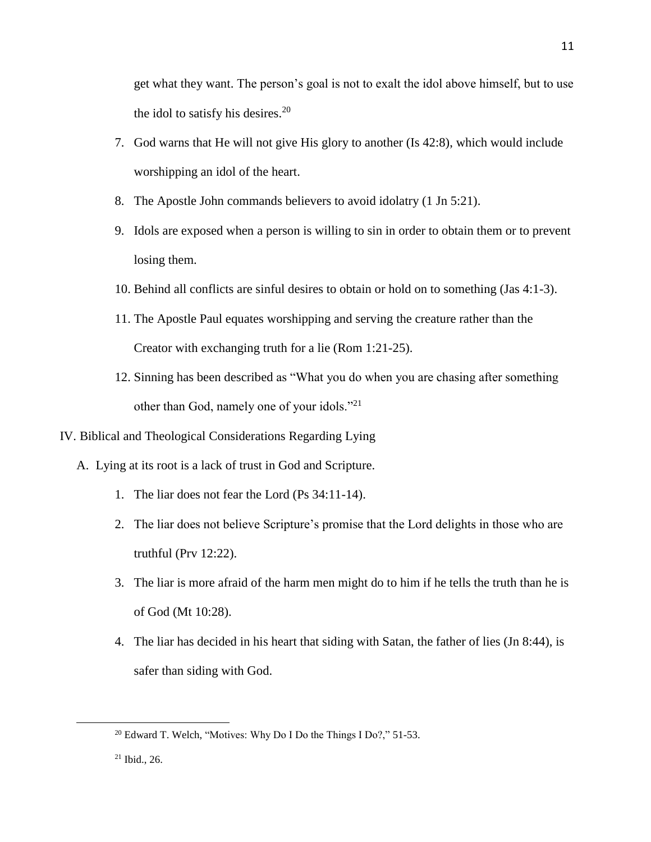get what they want. The person's goal is not to exalt the idol above himself, but to use the idol to satisfy his desires. 20

- 7. God warns that He will not give His glory to another (Is 42:8), which would include worshipping an idol of the heart.
- 8. The Apostle John commands believers to avoid idolatry (1 Jn 5:21).
- 9. Idols are exposed when a person is willing to sin in order to obtain them or to prevent losing them.
- 10. Behind all conflicts are sinful desires to obtain or hold on to something (Jas 4:1-3).
- 11. The Apostle Paul equates worshipping and serving the creature rather than the Creator with exchanging truth for a lie (Rom 1:21-25).
- 12. Sinning has been described as "What you do when you are chasing after something other than God, namely one of your idols."<sup>21</sup>
- IV. Biblical and Theological Considerations Regarding Lying
	- A. Lying at its root is a lack of trust in God and Scripture.
		- 1. The liar does not fear the Lord (Ps 34:11-14).
		- 2. The liar does not believe Scripture's promise that the Lord delights in those who are truthful (Prv 12:22).
		- 3. The liar is more afraid of the harm men might do to him if he tells the truth than he is of God (Mt 10:28).
		- 4. The liar has decided in his heart that siding with Satan, the father of lies (Jn 8:44), is safer than siding with God.

<sup>20</sup> Edward T. Welch, "Motives: Why Do I Do the Things I Do?," 51-53.

<sup>21</sup> Ibid., 26.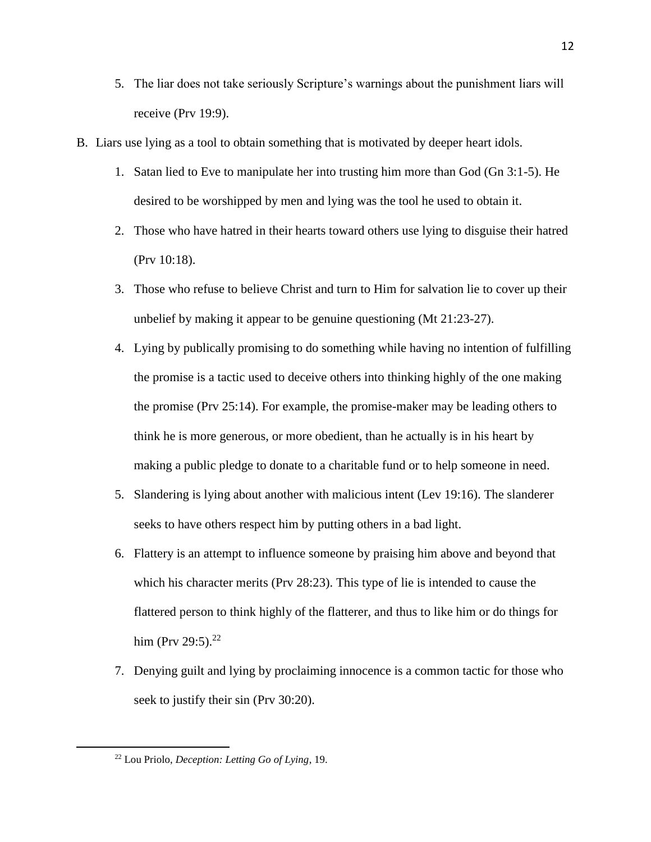- 5. The liar does not take seriously Scripture's warnings about the punishment liars will receive (Prv 19:9).
- B. Liars use lying as a tool to obtain something that is motivated by deeper heart idols.
	- 1. Satan lied to Eve to manipulate her into trusting him more than God (Gn 3:1-5). He desired to be worshipped by men and lying was the tool he used to obtain it.
	- 2. Those who have hatred in their hearts toward others use lying to disguise their hatred (Prv 10:18).
	- 3. Those who refuse to believe Christ and turn to Him for salvation lie to cover up their unbelief by making it appear to be genuine questioning (Mt 21:23-27).
	- 4. Lying by publically promising to do something while having no intention of fulfilling the promise is a tactic used to deceive others into thinking highly of the one making the promise (Prv 25:14). For example, the promise-maker may be leading others to think he is more generous, or more obedient, than he actually is in his heart by making a public pledge to donate to a charitable fund or to help someone in need.
	- 5. Slandering is lying about another with malicious intent (Lev 19:16). The slanderer seeks to have others respect him by putting others in a bad light.
	- 6. Flattery is an attempt to influence someone by praising him above and beyond that which his character merits (Prv 28:23). This type of lie is intended to cause the flattered person to think highly of the flatterer, and thus to like him or do things for him (Prv 29:5).<sup>22</sup>
	- 7. Denying guilt and lying by proclaiming innocence is a common tactic for those who seek to justify their sin (Prv 30:20).

<sup>22</sup> Lou Priolo, *Deception: Letting Go of Lying*, 19.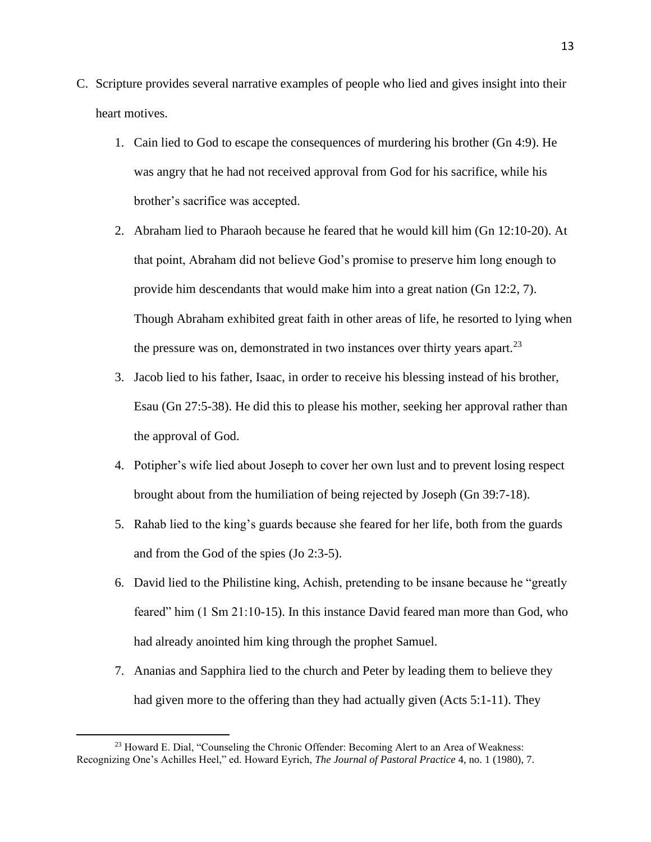- C. Scripture provides several narrative examples of people who lied and gives insight into their heart motives.
	- 1. Cain lied to God to escape the consequences of murdering his brother (Gn 4:9). He was angry that he had not received approval from God for his sacrifice, while his brother's sacrifice was accepted.
	- 2. Abraham lied to Pharaoh because he feared that he would kill him (Gn 12:10-20). At that point, Abraham did not believe God's promise to preserve him long enough to provide him descendants that would make him into a great nation (Gn 12:2, 7). Though Abraham exhibited great faith in other areas of life, he resorted to lying when the pressure was on, demonstrated in two instances over thirty years apart.<sup>23</sup>
	- 3. Jacob lied to his father, Isaac, in order to receive his blessing instead of his brother, Esau (Gn 27:5-38). He did this to please his mother, seeking her approval rather than the approval of God.
	- 4. Potipher's wife lied about Joseph to cover her own lust and to prevent losing respect brought about from the humiliation of being rejected by Joseph (Gn 39:7-18).
	- 5. Rahab lied to the king's guards because she feared for her life, both from the guards and from the God of the spies (Jo 2:3-5).
	- 6. David lied to the Philistine king, Achish, pretending to be insane because he "greatly feared" him (1 Sm 21:10-15). In this instance David feared man more than God, who had already anointed him king through the prophet Samuel.
	- 7. Ananias and Sapphira lied to the church and Peter by leading them to believe they had given more to the offering than they had actually given (Acts 5:1-11). They

<sup>23</sup> Howard E. Dial, "Counseling the Chronic Offender: Becoming Alert to an Area of Weakness: Recognizing One's Achilles Heel," ed. Howard Eyrich, *The Journal of Pastoral Practice* 4, no. 1 (1980), 7.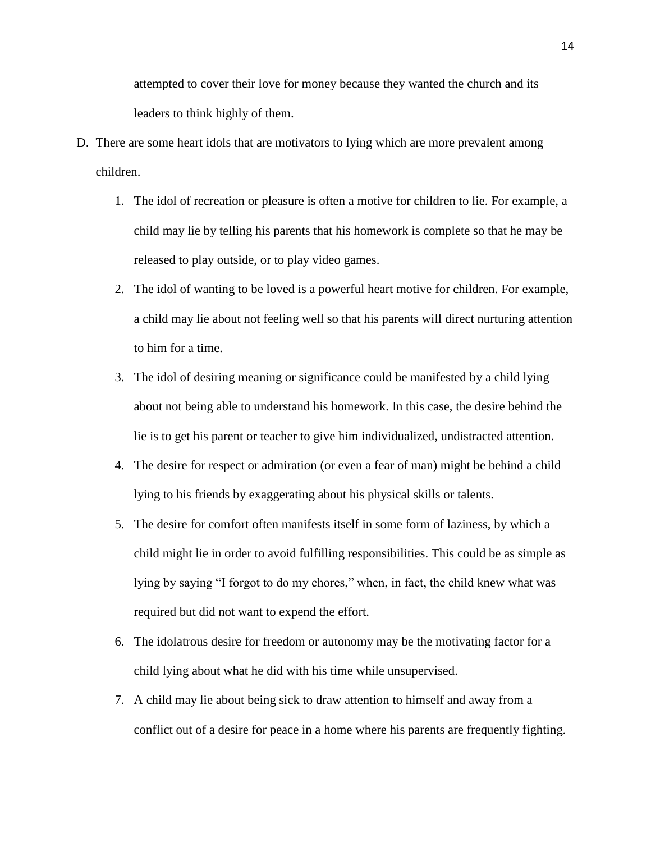attempted to cover their love for money because they wanted the church and its leaders to think highly of them.

- D. There are some heart idols that are motivators to lying which are more prevalent among children.
	- 1. The idol of recreation or pleasure is often a motive for children to lie. For example, a child may lie by telling his parents that his homework is complete so that he may be released to play outside, or to play video games.
	- 2. The idol of wanting to be loved is a powerful heart motive for children. For example, a child may lie about not feeling well so that his parents will direct nurturing attention to him for a time.
	- 3. The idol of desiring meaning or significance could be manifested by a child lying about not being able to understand his homework. In this case, the desire behind the lie is to get his parent or teacher to give him individualized, undistracted attention.
	- 4. The desire for respect or admiration (or even a fear of man) might be behind a child lying to his friends by exaggerating about his physical skills or talents.
	- 5. The desire for comfort often manifests itself in some form of laziness, by which a child might lie in order to avoid fulfilling responsibilities. This could be as simple as lying by saying "I forgot to do my chores," when, in fact, the child knew what was required but did not want to expend the effort.
	- 6. The idolatrous desire for freedom or autonomy may be the motivating factor for a child lying about what he did with his time while unsupervised.
	- 7. A child may lie about being sick to draw attention to himself and away from a conflict out of a desire for peace in a home where his parents are frequently fighting.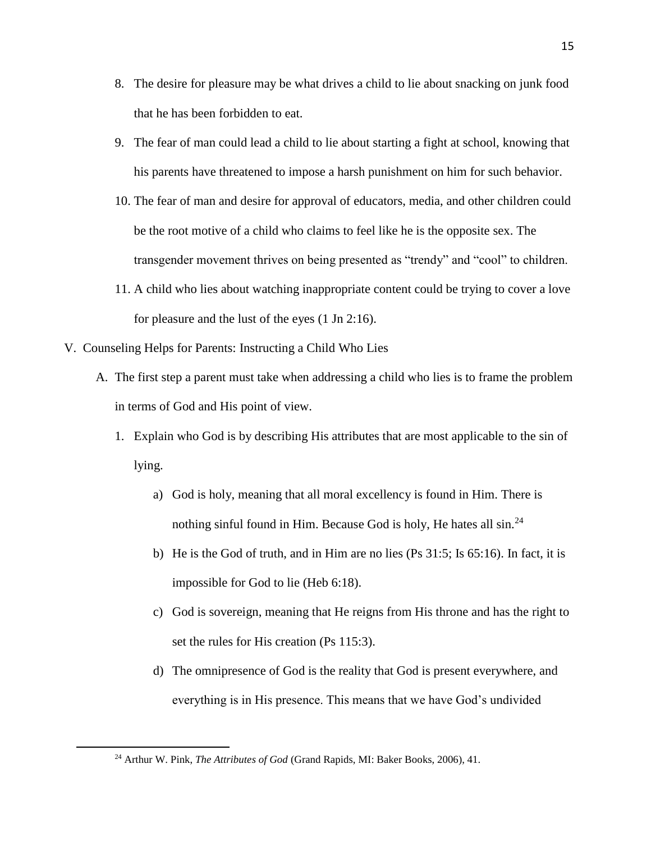- 8. The desire for pleasure may be what drives a child to lie about snacking on junk food that he has been forbidden to eat.
- 9. The fear of man could lead a child to lie about starting a fight at school, knowing that his parents have threatened to impose a harsh punishment on him for such behavior.
- 10. The fear of man and desire for approval of educators, media, and other children could be the root motive of a child who claims to feel like he is the opposite sex. The transgender movement thrives on being presented as "trendy" and "cool" to children.
- 11. A child who lies about watching inappropriate content could be trying to cover a love for pleasure and the lust of the eyes (1 Jn 2:16).
- V. Counseling Helps for Parents: Instructing a Child Who Lies
	- A. The first step a parent must take when addressing a child who lies is to frame the problem in terms of God and His point of view.
		- 1. Explain who God is by describing His attributes that are most applicable to the sin of lying.
			- a) God is holy, meaning that all moral excellency is found in Him. There is nothing sinful found in Him. Because God is holy, He hates all sin.<sup>24</sup>
			- b) He is the God of truth, and in Him are no lies (Ps 31:5; Is 65:16). In fact, it is impossible for God to lie (Heb 6:18).
			- c) God is sovereign, meaning that He reigns from His throne and has the right to set the rules for His creation (Ps 115:3).
			- d) The omnipresence of God is the reality that God is present everywhere, and everything is in His presence. This means that we have God's undivided

<sup>24</sup> Arthur W. Pink, *The Attributes of God* (Grand Rapids, MI: Baker Books, 2006), 41.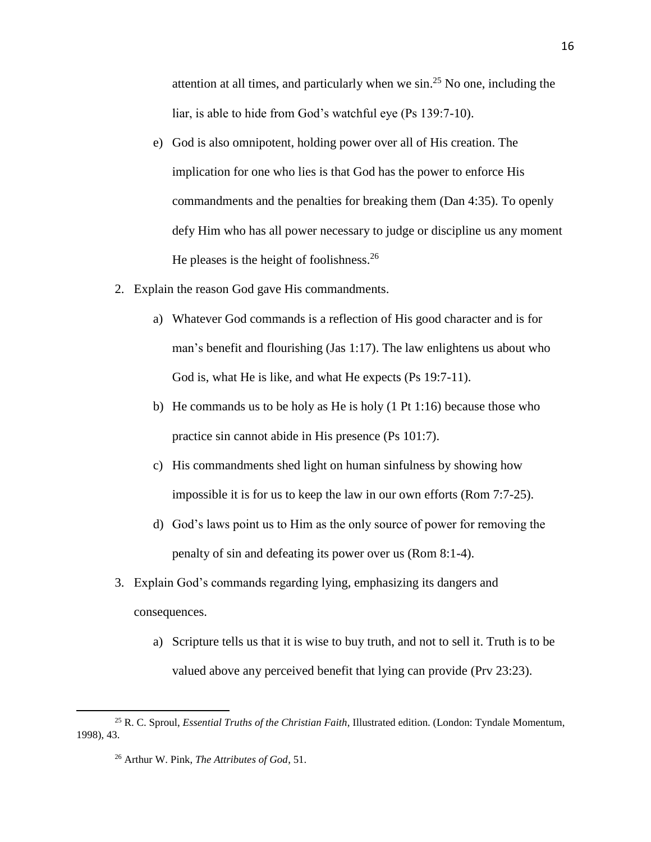attention at all times, and particularly when we  $\sin^{25}$  No one, including the liar, is able to hide from God's watchful eye (Ps 139:7-10).

- e) God is also omnipotent, holding power over all of His creation. The implication for one who lies is that God has the power to enforce His commandments and the penalties for breaking them (Dan 4:35). To openly defy Him who has all power necessary to judge or discipline us any moment He pleases is the height of foolishness. $26$
- 2. Explain the reason God gave His commandments.
	- a) Whatever God commands is a reflection of His good character and is for man's benefit and flourishing (Jas 1:17). The law enlightens us about who God is, what He is like, and what He expects (Ps 19:7-11).
	- b) He commands us to be holy as He is holy (1 Pt 1:16) because those who practice sin cannot abide in His presence (Ps 101:7).
	- c) His commandments shed light on human sinfulness by showing how impossible it is for us to keep the law in our own efforts (Rom 7:7-25).
	- d) God's laws point us to Him as the only source of power for removing the penalty of sin and defeating its power over us (Rom 8:1-4).
- 3. Explain God's commands regarding lying, emphasizing its dangers and consequences.
	- a) Scripture tells us that it is wise to buy truth, and not to sell it. Truth is to be valued above any perceived benefit that lying can provide (Prv 23:23).

<sup>25</sup> R. C. Sproul, *Essential Truths of the Christian Faith*, Illustrated edition. (London: Tyndale Momentum, 1998), 43.

<sup>26</sup> Arthur W. Pink, *The Attributes of God*, 51.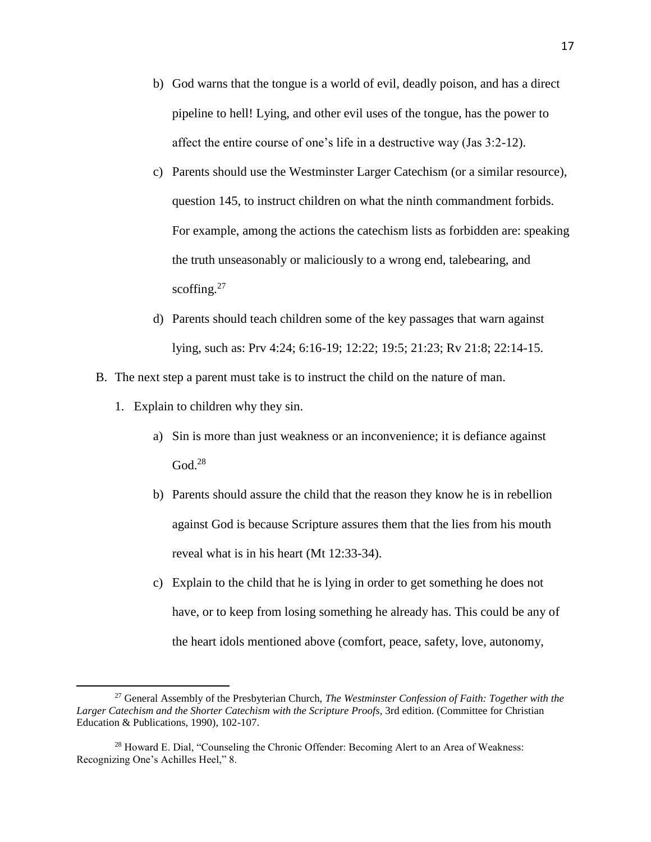- b) God warns that the tongue is a world of evil, deadly poison, and has a direct pipeline to hell! Lying, and other evil uses of the tongue, has the power to affect the entire course of one's life in a destructive way (Jas 3:2-12).
- c) Parents should use the Westminster Larger Catechism (or a similar resource), question 145, to instruct children on what the ninth commandment forbids. For example, among the actions the catechism lists as forbidden are: speaking the truth unseasonably or maliciously to a wrong end, talebearing, and scoffing. $27$
- d) Parents should teach children some of the key passages that warn against lying, such as: Prv 4:24; 6:16-19; 12:22; 19:5; 21:23; Rv 21:8; 22:14-15.
- B. The next step a parent must take is to instruct the child on the nature of man.
	- 1. Explain to children why they sin.

- a) Sin is more than just weakness or an inconvenience; it is defiance against  $\mathrm{God.}^{28}$
- b) Parents should assure the child that the reason they know he is in rebellion against God is because Scripture assures them that the lies from his mouth reveal what is in his heart (Mt 12:33-34).
- c) Explain to the child that he is lying in order to get something he does not have, or to keep from losing something he already has. This could be any of the heart idols mentioned above (comfort, peace, safety, love, autonomy,

<sup>27</sup> General Assembly of the Presbyterian Church, *The Westminster Confession of Faith: Together with the Larger Catechism and the Shorter Catechism with the Scripture Proofs*, 3rd edition. (Committee for Christian Education & Publications, 1990), 102-107.

<sup>28</sup> Howard E. Dial, "Counseling the Chronic Offender: Becoming Alert to an Area of Weakness: Recognizing One's Achilles Heel," 8.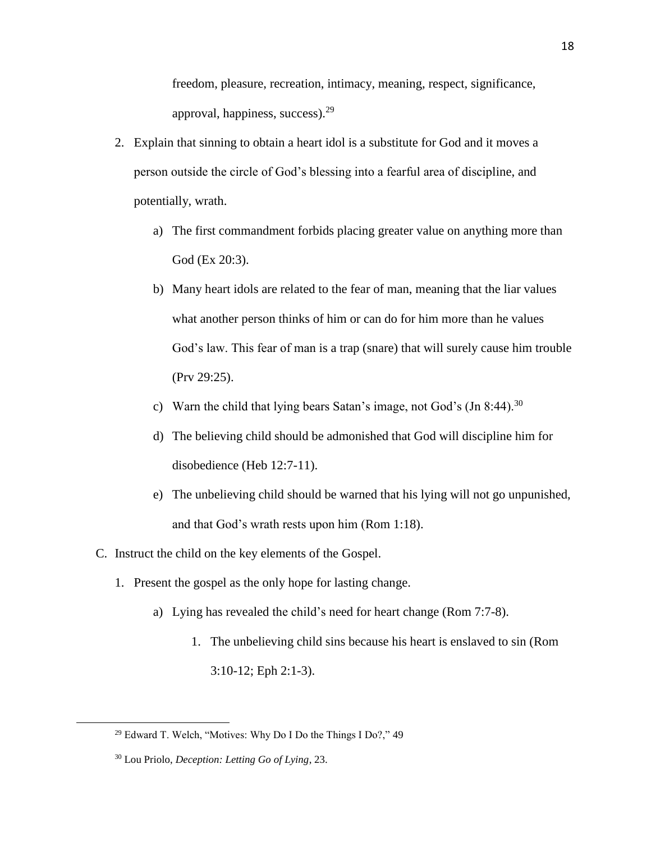freedom, pleasure, recreation, intimacy, meaning, respect, significance, approval, happiness, success).<sup>29</sup>

- 2. Explain that sinning to obtain a heart idol is a substitute for God and it moves a person outside the circle of God's blessing into a fearful area of discipline, and potentially, wrath.
	- a) The first commandment forbids placing greater value on anything more than God (Ex 20:3).
	- b) Many heart idols are related to the fear of man, meaning that the liar values what another person thinks of him or can do for him more than he values God's law. This fear of man is a trap (snare) that will surely cause him trouble (Prv 29:25).
	- c) Warn the child that lying bears Satan's image, not God's  $(In 8:44).^{30}$
	- d) The believing child should be admonished that God will discipline him for disobedience (Heb 12:7-11).
	- e) The unbelieving child should be warned that his lying will not go unpunished, and that God's wrath rests upon him (Rom 1:18).
- C. Instruct the child on the key elements of the Gospel.
	- 1. Present the gospel as the only hope for lasting change.
		- a) Lying has revealed the child's need for heart change (Rom 7:7-8).
			- 1. The unbelieving child sins because his heart is enslaved to sin (Rom 3:10-12; Eph 2:1-3).

<sup>29</sup> Edward T. Welch, "Motives: Why Do I Do the Things I Do?," 49

<sup>30</sup> Lou Priolo, *Deception: Letting Go of Lying*, 23.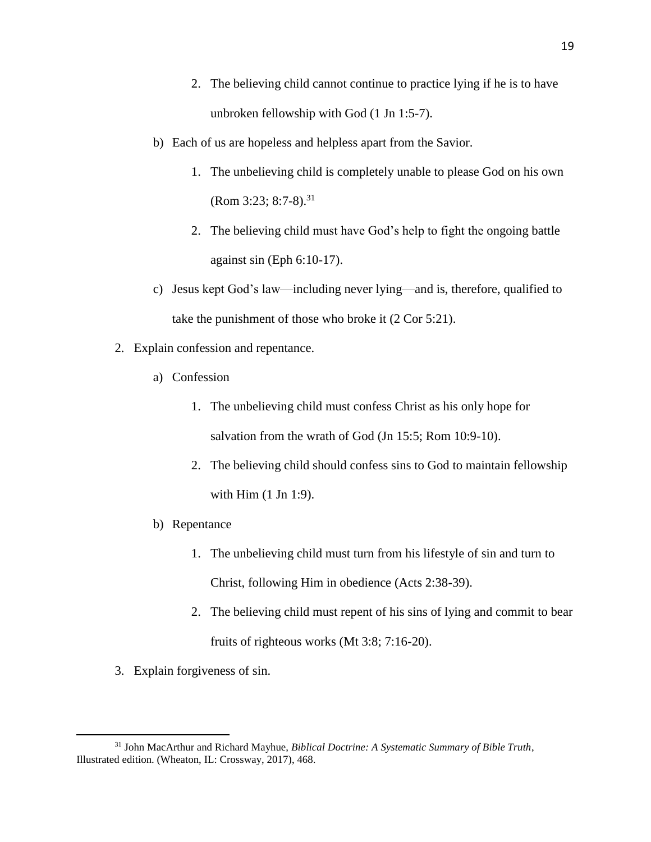- 2. The believing child cannot continue to practice lying if he is to have unbroken fellowship with God (1 Jn 1:5-7).
- b) Each of us are hopeless and helpless apart from the Savior.
	- 1. The unbelieving child is completely unable to please God on his own  $(Rom 3:23; 8:7-8).^{31}$
	- 2. The believing child must have God's help to fight the ongoing battle against sin (Eph 6:10-17).
- c) Jesus kept God's law—including never lying—and is, therefore, qualified to take the punishment of those who broke it (2 Cor 5:21).
- 2. Explain confession and repentance.
	- a) Confession
		- 1. The unbelieving child must confess Christ as his only hope for salvation from the wrath of God (Jn 15:5; Rom 10:9-10).
		- 2. The believing child should confess sins to God to maintain fellowship with Him (1 Jn 1:9).
	- b) Repentance
		- 1. The unbelieving child must turn from his lifestyle of sin and turn to Christ, following Him in obedience (Acts 2:38-39).
		- 2. The believing child must repent of his sins of lying and commit to bear fruits of righteous works (Mt 3:8; 7:16-20).
- 3. Explain forgiveness of sin.

<sup>31</sup> John MacArthur and Richard Mayhue, *Biblical Doctrine: A Systematic Summary of Bible Truth*, Illustrated edition. (Wheaton, IL: Crossway, 2017), 468.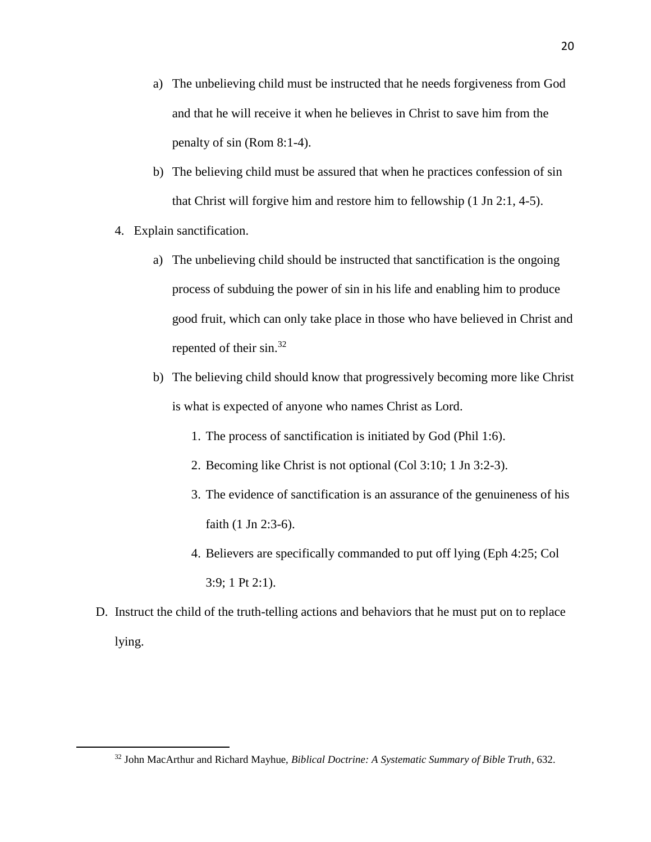- a) The unbelieving child must be instructed that he needs forgiveness from God and that he will receive it when he believes in Christ to save him from the penalty of sin (Rom 8:1-4).
- b) The believing child must be assured that when he practices confession of sin that Christ will forgive him and restore him to fellowship (1 Jn 2:1, 4-5).
- 4. Explain sanctification.

- a) The unbelieving child should be instructed that sanctification is the ongoing process of subduing the power of sin in his life and enabling him to produce good fruit, which can only take place in those who have believed in Christ and repented of their sin.<sup>32</sup>
- b) The believing child should know that progressively becoming more like Christ is what is expected of anyone who names Christ as Lord.
	- 1. The process of sanctification is initiated by God (Phil 1:6).
	- 2. Becoming like Christ is not optional (Col 3:10; 1 Jn 3:2-3).
	- 3. The evidence of sanctification is an assurance of the genuineness of his faith (1 Jn 2:3-6).
	- 4. Believers are specifically commanded to put off lying (Eph 4:25; Col 3:9; 1 Pt 2:1).
- D. Instruct the child of the truth-telling actions and behaviors that he must put on to replace lying.

<sup>32</sup> John MacArthur and Richard Mayhue, *Biblical Doctrine: A Systematic Summary of Bible Truth*, 632.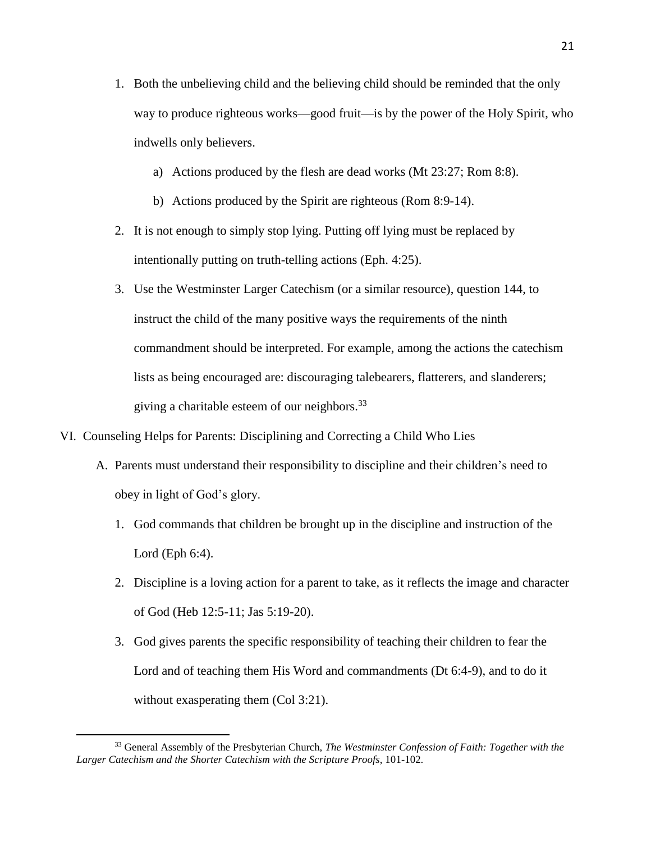- 1. Both the unbelieving child and the believing child should be reminded that the only way to produce righteous works—good fruit—is by the power of the Holy Spirit, who indwells only believers.
	- a) Actions produced by the flesh are dead works (Mt 23:27; Rom 8:8).
	- b) Actions produced by the Spirit are righteous (Rom 8:9-14).
- 2. It is not enough to simply stop lying. Putting off lying must be replaced by intentionally putting on truth-telling actions (Eph. 4:25).
- 3. Use the Westminster Larger Catechism (or a similar resource), question 144, to instruct the child of the many positive ways the requirements of the ninth commandment should be interpreted. For example, among the actions the catechism lists as being encouraged are: discouraging talebearers, flatterers, and slanderers; giving a charitable esteem of our neighbors.<sup>33</sup>
- VI. Counseling Helps for Parents: Disciplining and Correcting a Child Who Lies
	- A. Parents must understand their responsibility to discipline and their children's need to obey in light of God's glory.
		- 1. God commands that children be brought up in the discipline and instruction of the Lord (Eph 6:4).
		- 2. Discipline is a loving action for a parent to take, as it reflects the image and character of God (Heb 12:5-11; Jas 5:19-20).
		- 3. God gives parents the specific responsibility of teaching their children to fear the Lord and of teaching them His Word and commandments (Dt 6:4-9), and to do it without exasperating them (Col 3:21).

<sup>33</sup> General Assembly of the Presbyterian Church, *The Westminster Confession of Faith: Together with the Larger Catechism and the Shorter Catechism with the Scripture Proofs*, 101-102.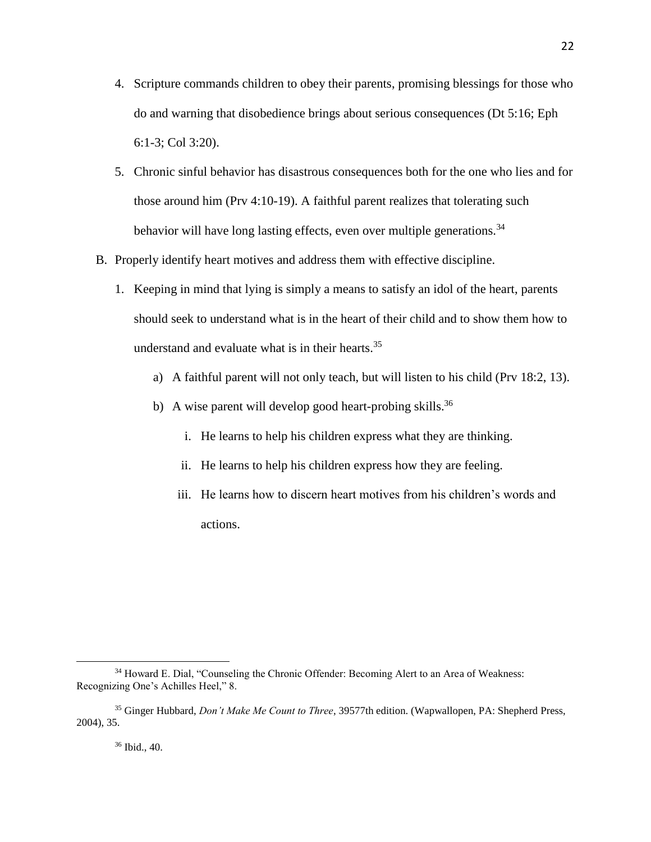- 4. Scripture commands children to obey their parents, promising blessings for those who do and warning that disobedience brings about serious consequences (Dt 5:16; Eph 6:1-3; Col 3:20).
- 5. Chronic sinful behavior has disastrous consequences both for the one who lies and for those around him (Prv 4:10-19). A faithful parent realizes that tolerating such behavior will have long lasting effects, even over multiple generations.  $34$
- B. Properly identify heart motives and address them with effective discipline.
	- 1. Keeping in mind that lying is simply a means to satisfy an idol of the heart, parents should seek to understand what is in the heart of their child and to show them how to understand and evaluate what is in their hearts.<sup>35</sup>
		- a) A faithful parent will not only teach, but will listen to his child (Prv 18:2, 13).
		- b) A wise parent will develop good heart-probing skills.<sup>36</sup>
			- i. He learns to help his children express what they are thinking.
			- ii. He learns to help his children express how they are feeling.
			- iii. He learns how to discern heart motives from his children's words and actions.

<sup>34</sup> Howard E. Dial, "Counseling the Chronic Offender: Becoming Alert to an Area of Weakness: Recognizing One's Achilles Heel," 8.

<sup>35</sup> Ginger Hubbard, *Don't Make Me Count to Three*, 39577th edition. (Wapwallopen, PA: Shepherd Press, 2004), 35.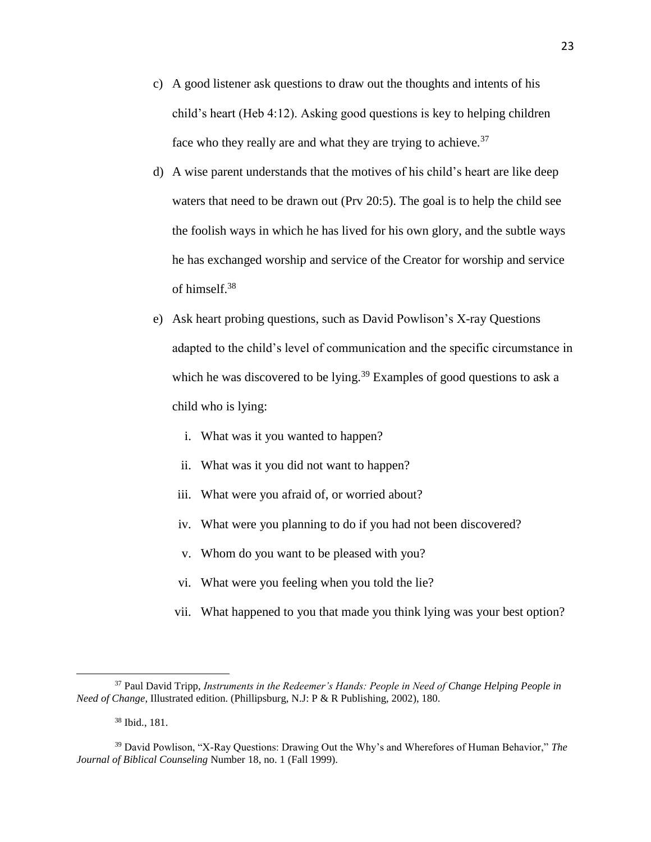- c) A good listener ask questions to draw out the thoughts and intents of his child's heart (Heb 4:12). Asking good questions is key to helping children face who they really are and what they are trying to achieve. $37$
- d) A wise parent understands that the motives of his child's heart are like deep waters that need to be drawn out (Prv 20:5). The goal is to help the child see the foolish ways in which he has lived for his own glory, and the subtle ways he has exchanged worship and service of the Creator for worship and service of himself.<sup>38</sup>
- e) Ask heart probing questions, such as David Powlison's X-ray Questions adapted to the child's level of communication and the specific circumstance in which he was discovered to be lying.<sup>39</sup> Examples of good questions to ask a child who is lying:
	- i. What was it you wanted to happen?
	- ii. What was it you did not want to happen?
	- iii. What were you afraid of, or worried about?
	- iv. What were you planning to do if you had not been discovered?
	- v. Whom do you want to be pleased with you?
	- vi. What were you feeling when you told the lie?
	- vii. What happened to you that made you think lying was your best option?

<sup>37</sup> Paul David Tripp, *Instruments in the Redeemer's Hands: People in Need of Change Helping People in Need of Change*, Illustrated edition. (Phillipsburg, N.J: P & R Publishing, 2002), 180.

<sup>38</sup> Ibid., 181.

<sup>39</sup> David Powlison, "X-Ray Questions: Drawing Out the Why's and Wherefores of Human Behavior," *The Journal of Biblical Counseling* Number 18, no. 1 (Fall 1999).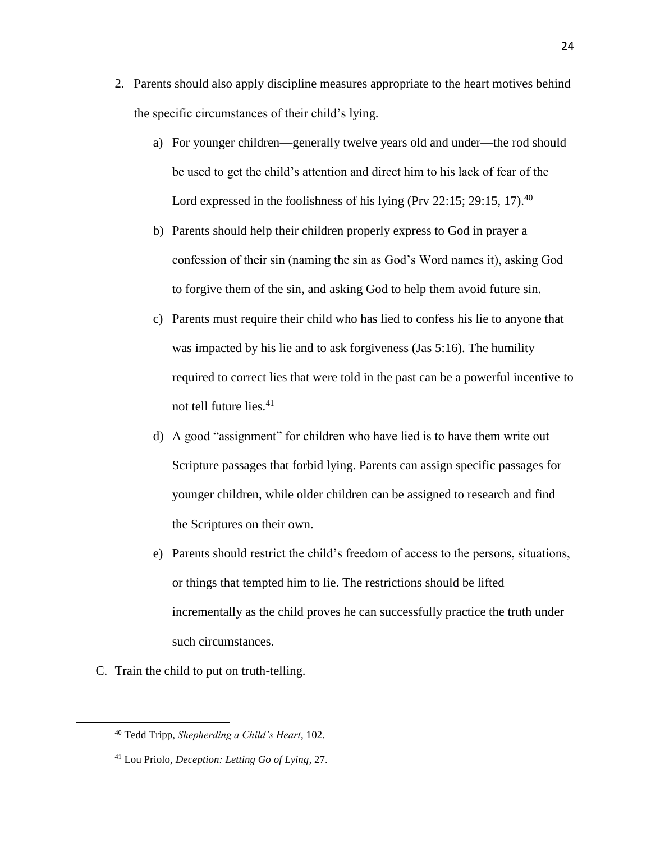- 2. Parents should also apply discipline measures appropriate to the heart motives behind the specific circumstances of their child's lying.
	- a) For younger children—generally twelve years old and under—the rod should be used to get the child's attention and direct him to his lack of fear of the Lord expressed in the foolishness of his lying (Prv 22:15; 29:15, 17).<sup>40</sup>
	- b) Parents should help their children properly express to God in prayer a confession of their sin (naming the sin as God's Word names it), asking God to forgive them of the sin, and asking God to help them avoid future sin.
	- c) Parents must require their child who has lied to confess his lie to anyone that was impacted by his lie and to ask forgiveness (Jas 5:16). The humility required to correct lies that were told in the past can be a powerful incentive to not tell future lies. $41$
	- d) A good "assignment" for children who have lied is to have them write out Scripture passages that forbid lying. Parents can assign specific passages for younger children, while older children can be assigned to research and find the Scriptures on their own.
	- e) Parents should restrict the child's freedom of access to the persons, situations, or things that tempted him to lie. The restrictions should be lifted incrementally as the child proves he can successfully practice the truth under such circumstances.
- C. Train the child to put on truth-telling.

<sup>40</sup> Tedd Tripp, *Shepherding a Child's Heart*, 102.

<sup>41</sup> Lou Priolo, *Deception: Letting Go of Lying*, 27.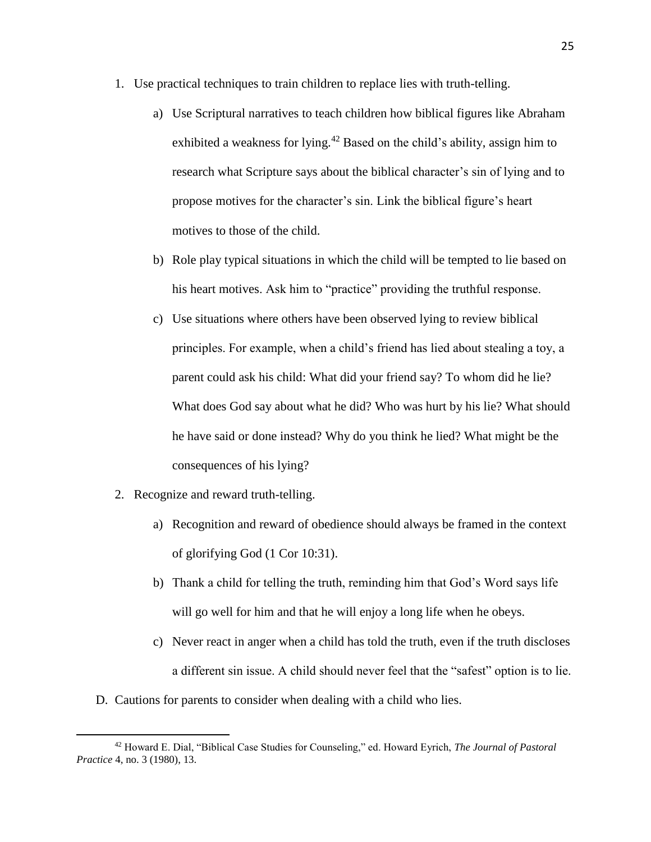- 1. Use practical techniques to train children to replace lies with truth-telling.
	- a) Use Scriptural narratives to teach children how biblical figures like Abraham exhibited a weakness for lying.<sup>42</sup> Based on the child's ability, assign him to research what Scripture says about the biblical character's sin of lying and to propose motives for the character's sin. Link the biblical figure's heart motives to those of the child.
	- b) Role play typical situations in which the child will be tempted to lie based on his heart motives. Ask him to "practice" providing the truthful response.
	- c) Use situations where others have been observed lying to review biblical principles. For example, when a child's friend has lied about stealing a toy, a parent could ask his child: What did your friend say? To whom did he lie? What does God say about what he did? Who was hurt by his lie? What should he have said or done instead? Why do you think he lied? What might be the consequences of his lying?
- 2. Recognize and reward truth-telling.

- a) Recognition and reward of obedience should always be framed in the context of glorifying God (1 Cor 10:31).
- b) Thank a child for telling the truth, reminding him that God's Word says life will go well for him and that he will enjoy a long life when he obeys.
- c) Never react in anger when a child has told the truth, even if the truth discloses a different sin issue. A child should never feel that the "safest" option is to lie.
- D. Cautions for parents to consider when dealing with a child who lies.

<sup>42</sup> Howard E. Dial, "Biblical Case Studies for Counseling," ed. Howard Eyrich, *The Journal of Pastoral Practice* 4, no. 3 (1980), 13.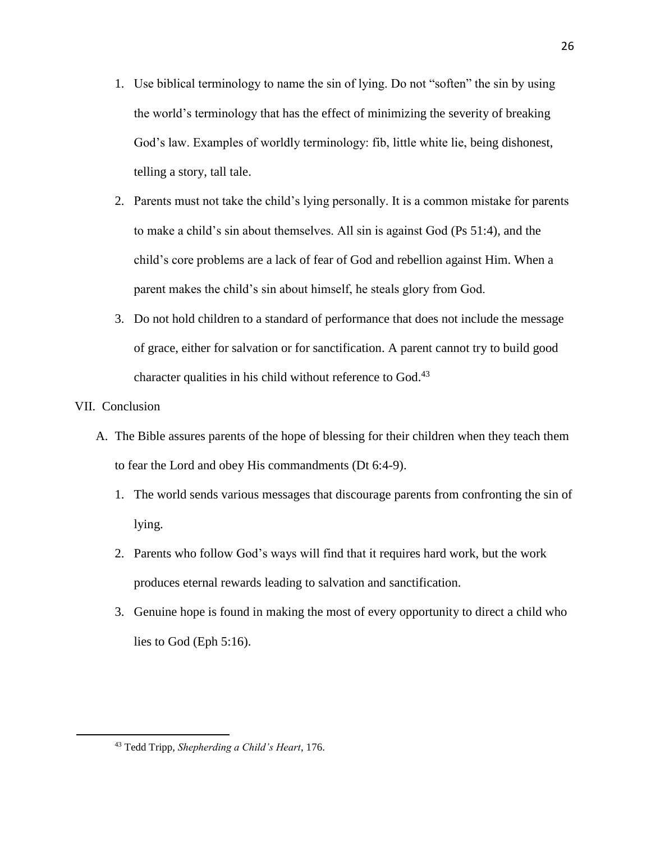- 1. Use biblical terminology to name the sin of lying. Do not "soften" the sin by using the world's terminology that has the effect of minimizing the severity of breaking God's law. Examples of worldly terminology: fib, little white lie, being dishonest, telling a story, tall tale.
- 2. Parents must not take the child's lying personally. It is a common mistake for parents to make a child's sin about themselves. All sin is against God (Ps 51:4), and the child's core problems are a lack of fear of God and rebellion against Him. When a parent makes the child's sin about himself, he steals glory from God.
- 3. Do not hold children to a standard of performance that does not include the message of grace, either for salvation or for sanctification. A parent cannot try to build good character qualities in his child without reference to God.<sup>43</sup>

## VII. Conclusion

- A. The Bible assures parents of the hope of blessing for their children when they teach them to fear the Lord and obey His commandments (Dt 6:4-9).
	- 1. The world sends various messages that discourage parents from confronting the sin of lying.
	- 2. Parents who follow God's ways will find that it requires hard work, but the work produces eternal rewards leading to salvation and sanctification.
	- 3. Genuine hope is found in making the most of every opportunity to direct a child who lies to God (Eph 5:16).

<sup>26</sup>

<sup>43</sup> Tedd Tripp, *Shepherding a Child's Heart*, 176.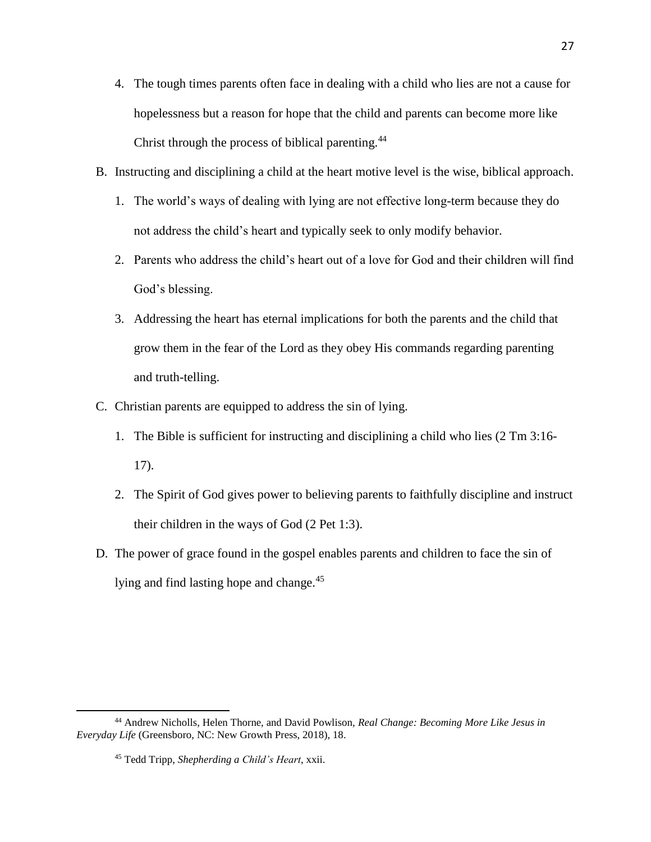- 4. The tough times parents often face in dealing with a child who lies are not a cause for hopelessness but a reason for hope that the child and parents can become more like Christ through the process of biblical parenting.<sup>44</sup>
- B. Instructing and disciplining a child at the heart motive level is the wise, biblical approach.
	- 1. The world's ways of dealing with lying are not effective long-term because they do not address the child's heart and typically seek to only modify behavior.
	- 2. Parents who address the child's heart out of a love for God and their children will find God's blessing.
	- 3. Addressing the heart has eternal implications for both the parents and the child that grow them in the fear of the Lord as they obey His commands regarding parenting and truth-telling.
- C. Christian parents are equipped to address the sin of lying.
	- 1. The Bible is sufficient for instructing and disciplining a child who lies (2 Tm 3:16- 17).
	- 2. The Spirit of God gives power to believing parents to faithfully discipline and instruct their children in the ways of God (2 Pet 1:3).
- D. The power of grace found in the gospel enables parents and children to face the sin of lying and find lasting hope and change.<sup>45</sup>

<sup>44</sup> Andrew Nicholls, Helen Thorne, and David Powlison, *Real Change: Becoming More Like Jesus in Everyday Life* (Greensboro, NC: New Growth Press, 2018), 18.

<sup>45</sup> Tedd Tripp, *Shepherding a Child's Heart*, xxii.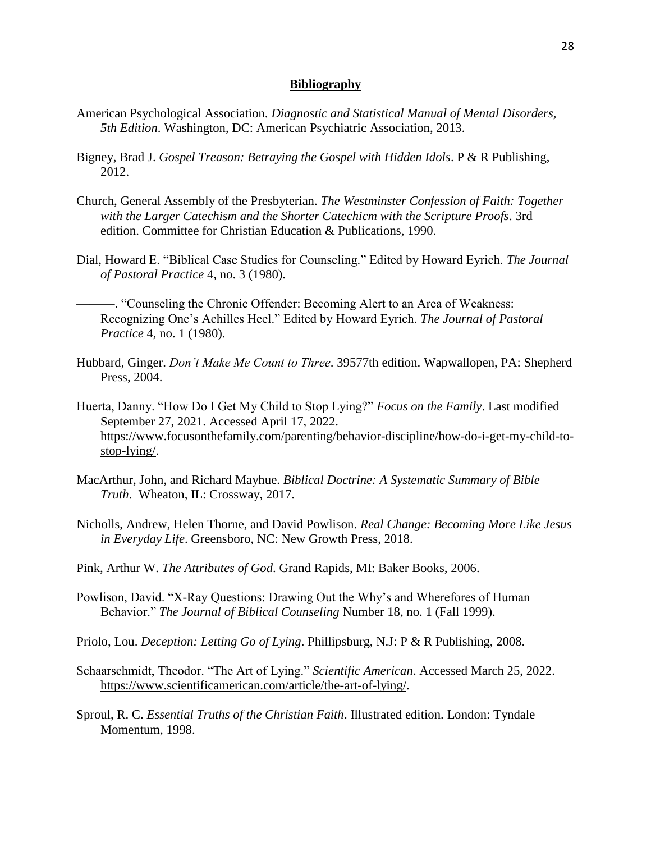#### **Bibliography**

- American Psychological Association. *Diagnostic and Statistical Manual of Mental Disorders, 5th Edition*. Washington, DC: American Psychiatric Association, 2013.
- Bigney, Brad J. *Gospel Treason: Betraying the Gospel with Hidden Idols*. P & R Publishing, 2012.
- Church, General Assembly of the Presbyterian. *The Westminster Confession of Faith: Together with the Larger Catechism and the Shorter Catechicm with the Scripture Proofs*. 3rd edition. Committee for Christian Education & Publications, 1990.
- Dial, Howard E. "Biblical Case Studies for Counseling." Edited by Howard Eyrich. *The Journal of Pastoral Practice* 4, no. 3 (1980).
	- ———. "Counseling the Chronic Offender: Becoming Alert to an Area of Weakness: Recognizing One's Achilles Heel." Edited by Howard Eyrich. *The Journal of Pastoral Practice* 4, no. 1 (1980).
- Hubbard, Ginger. *Don't Make Me Count to Three*. 39577th edition. Wapwallopen, PA: Shepherd Press, 2004.
- Huerta, Danny. "How Do I Get My Child to Stop Lying?" *Focus on the Family*. Last modified September 27, 2021. Accessed April 17, 2022. [https://www.focusonthefamily.com/parenting/behavior-discipline/how-do-i-get-my-child-to](https://www.focusonthefamily.com/parenting/behavior-discipline/how-do-i-get-my-child-to-stop-lying/)[stop-lying/.](https://www.focusonthefamily.com/parenting/behavior-discipline/how-do-i-get-my-child-to-stop-lying/)
- MacArthur, John, and Richard Mayhue. *Biblical Doctrine: A Systematic Summary of Bible Truth*. Wheaton, IL: Crossway, 2017.
- Nicholls, Andrew, Helen Thorne, and David Powlison. *Real Change: Becoming More Like Jesus in Everyday Life*. Greensboro, NC: New Growth Press, 2018.
- Pink, Arthur W. *The Attributes of God*. Grand Rapids, MI: Baker Books, 2006.
- Powlison, David. "X-Ray Questions: Drawing Out the Why's and Wherefores of Human Behavior." *The Journal of Biblical Counseling* Number 18, no. 1 (Fall 1999).
- Priolo, Lou. *Deception: Letting Go of Lying*. Phillipsburg, N.J: P & R Publishing, 2008.
- Schaarschmidt, Theodor. "The Art of Lying." *Scientific American*. Accessed March 25, 2022. [https://www.scientificamerican.com/article/the-art-of-lying/.](https://www.scientificamerican.com/article/the-art-of-lying/)
- Sproul, R. C. *Essential Truths of the Christian Faith*. Illustrated edition. London: Tyndale Momentum, 1998.